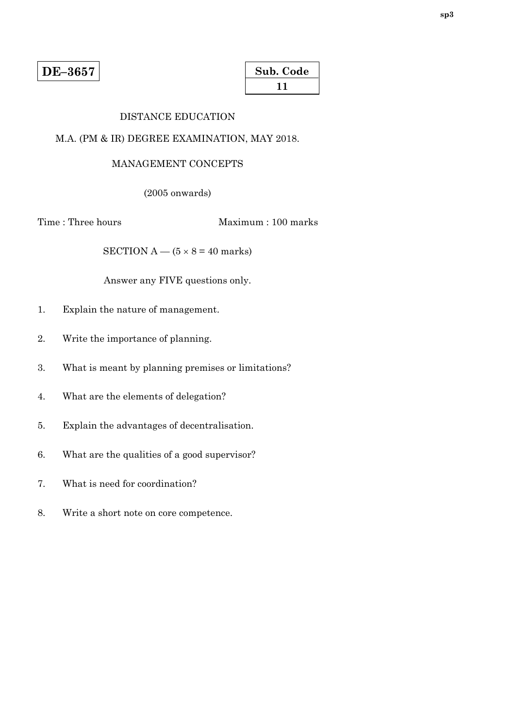| Sub. Code |  |
|-----------|--|
| 11        |  |

### DISTANCE EDUCATION

### M.A. (PM & IR) DEGREE EXAMINATION, MAY 2018.

#### MANAGEMENT CONCEPTS

(2005 onwards)

Time : Three hours Maximum : 100 marks

SECTION  $A - (5 \times 8 = 40$  marks)

- 1. Explain the nature of management.
- 2. Write the importance of planning.
- 3. What is meant by planning premises or limitations?
- 4. What are the elements of delegation?
- 5. Explain the advantages of decentralisation.
- 6. What are the qualities of a good supervisor?
- 7. What is need for coordination?
- 8. Write a short note on core competence.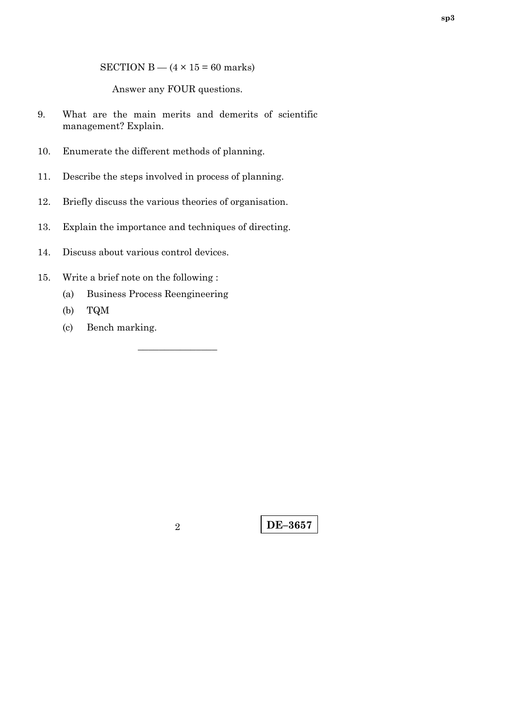SECTION B —  $(4 \times 15 = 60$  marks)

Answer any FOUR questions.

- 9. What are the main merits and demerits of scientific management? Explain.
- 10. Enumerate the different methods of planning.
- 11. Describe the steps involved in process of planning.
- 12. Briefly discuss the various theories of organisation.
- 13. Explain the importance and techniques of directing.
- 14. Discuss about various control devices.
- 15. Write a brief note on the following :
	- (a) Business Process Reengineering
	- (b) TQM
	- (c) Bench marking.

–––––––––––––––

**DE–3657** <sup>2</sup>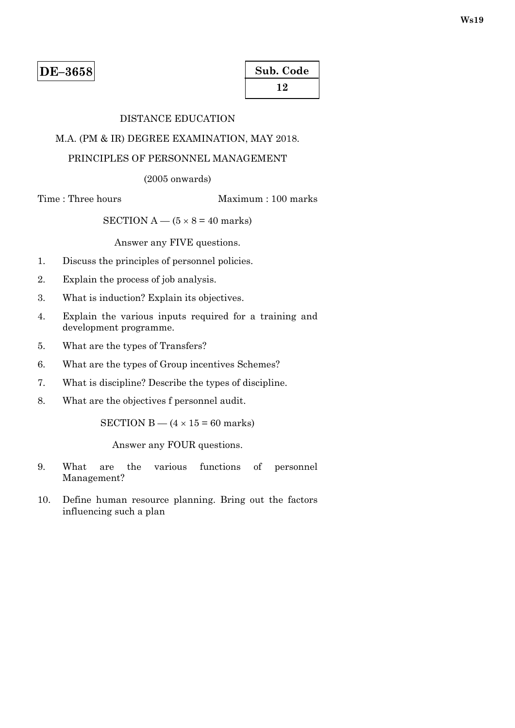| Sub. Code |  |
|-----------|--|
| 12        |  |

# DISTANCE EDUCATION

# M.A. (PM & IR) DEGREE EXAMINATION, MAY 2018.

# PRINCIPLES OF PERSONNEL MANAGEMENT

(2005 onwards)

Time : Three hours Maximum : 100 marks

SECTION A —  $(5 \times 8 = 40$  marks)

Answer any FIVE questions.

- 1. Discuss the principles of personnel policies.
- 2. Explain the process of job analysis.
- 3. What is induction? Explain its objectives.
- 4. Explain the various inputs required for a training and development programme.
- 5. What are the types of Transfers?
- 6. What are the types of Group incentives Schemes?
- 7. What is discipline? Describe the types of discipline.
- 8. What are the objectives f personnel audit.

SECTION B —  $(4 \times 15 = 60$  marks)

Answer any FOUR questions.

- 9. What are the various functions of personnel Management?
- 10. Define human resource planning. Bring out the factors influencing such a plan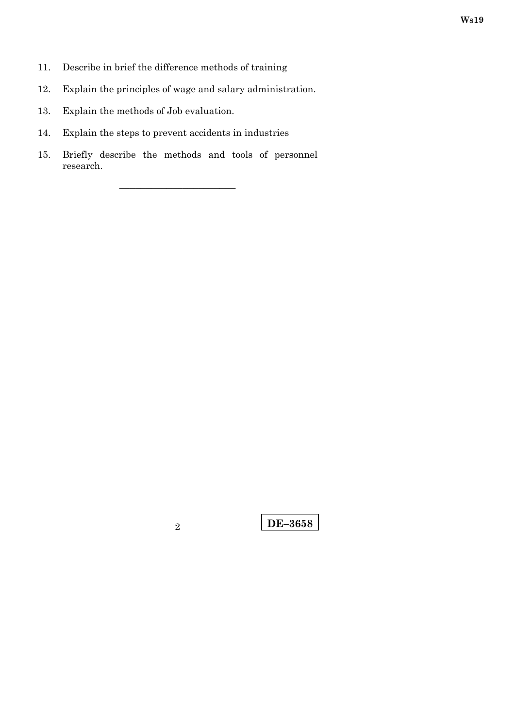- 11. Describe in brief the difference methods of training
- 12. Explain the principles of wage and salary administration.
- 13. Explain the methods of Job evaluation.
- 14. Explain the steps to prevent accidents in industries
- 15. Briefly describe the methods and tools of personnel research.

––––––––––––––––––––––

**DE–3658** 2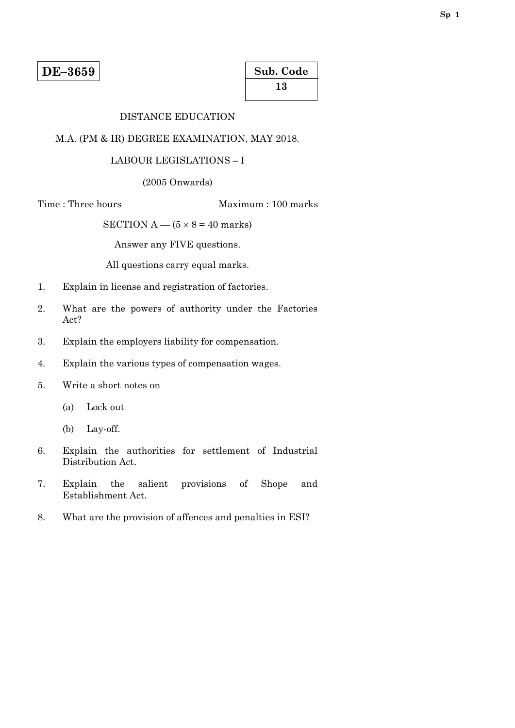| Sub. Code |  |
|-----------|--|
| 13        |  |

#### DISTANCE EDUCATION

#### M.A. (PM & IR) DEGREE EXAMINATION, MAY 2018.

#### LABOUR LEGISLATIONS – I

(2005 Onwards)

Time : Three hours Maximum : 100 marks

SECTION A —  $(5 \times 8 = 40$  marks)

Answer any FIVE questions.

All questions carry equal marks.

- 1. Explain in license and registration of factories.
- 2. What are the powers of authority under the Factories Act?
- 3. Explain the employers liability for compensation.
- 4. Explain the various types of compensation wages.
- 5. Write a short notes on
	- (a) Lock out
	- (b) Lay-off.
- 6. Explain the authorities for settlement of Industrial Distribution Act.
- 7. Explain the salient provisions of Shope and Establishment Act.
- 8. What are the provision of affences and penalties in ESI?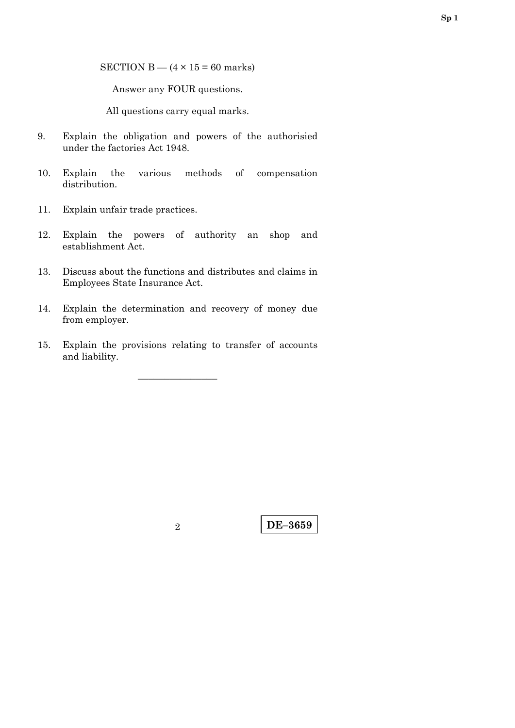SECTION B —  $(4 \times 15 = 60$  marks)

Answer any FOUR questions.

All questions carry equal marks.

- 9. Explain the obligation and powers of the authorisied under the factories Act 1948.
- 10. Explain the various methods of compensation distribution.
- 11. Explain unfair trade practices.
- 12. Explain the powers of authority an shop and establishment Act.
- 13. Discuss about the functions and distributes and claims in Employees State Insurance Act.
- 14. Explain the determination and recovery of money due from employer.
- 15. Explain the provisions relating to transfer of accounts and liability.

–––––––––––––––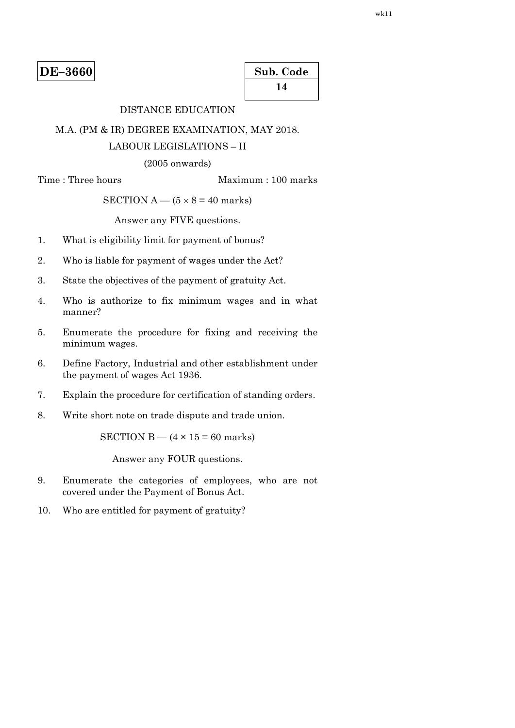| Sub. Code |
|-----------|
| 14        |

# DISTANCE EDUCATION

#### M.A. (PM & IR) DEGREE EXAMINATION, MAY 2018.

### LABOUR LEGISLATIONS – II

#### (2005 onwards)

Time : Three hours Maximum : 100 marks

### SECTION  $A - (5 \times 8 = 40$  marks)

#### Answer any FIVE questions.

- 1. What is eligibility limit for payment of bonus?
- 2. Who is liable for payment of wages under the Act?
- 3. State the objectives of the payment of gratuity Act.
- 4. Who is authorize to fix minimum wages and in what manner?
- 5. Enumerate the procedure for fixing and receiving the minimum wages.
- 6. Define Factory, Industrial and other establishment under the payment of wages Act 1936.
- 7. Explain the procedure for certification of standing orders.
- 8. Write short note on trade dispute and trade union.

SECTION B  $-$  (4  $\times$  15 = 60 marks)

Answer any FOUR questions.

- 9. Enumerate the categories of employees, who are not covered under the Payment of Bonus Act.
- 10. Who are entitled for payment of gratuity?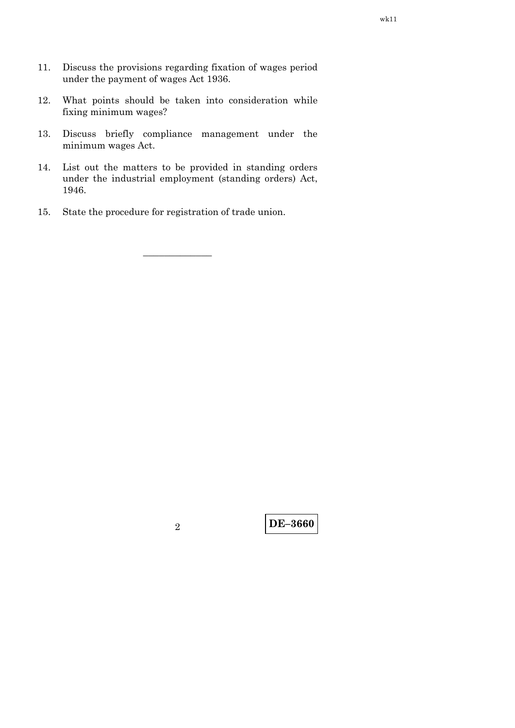- 11. Discuss the provisions regarding fixation of wages period under the payment of wages Act 1936.
- 12. What points should be taken into consideration while fixing minimum wages?
- 13. Discuss briefly compliance management under the minimum wages Act.
- 14. List out the matters to be provided in standing orders under the industrial employment (standing orders) Act, 1946.

–––––––––––––

15. State the procedure for registration of trade union.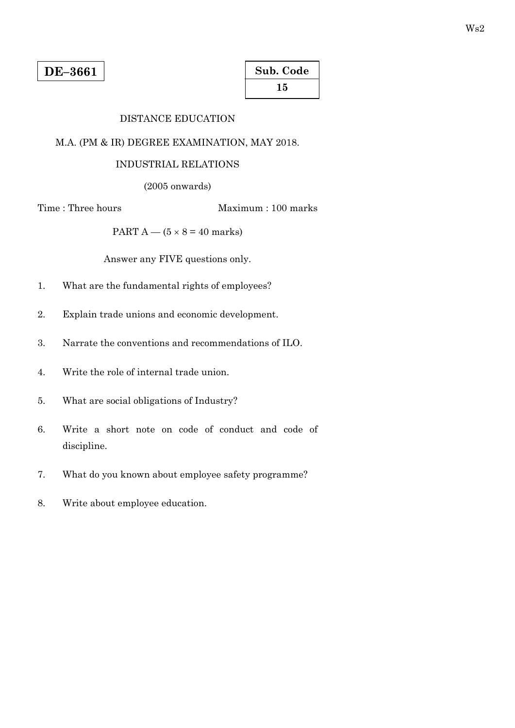| Sub. Code |
|-----------|
| 15        |

# DISTANCE EDUCATION

# M.A. (PM & IR) DEGREE EXAMINATION, MAY 2018.

#### INDUSTRIAL RELATIONS

(2005 onwards)

Time : Three hours Maximum : 100 marks

PART  $A - (5 \times 8 = 40$  marks)

- 1. What are the fundamental rights of employees?
- 2. Explain trade unions and economic development.
- 3. Narrate the conventions and recommendations of ILO.
- 4. Write the role of internal trade union.
- 5. What are social obligations of Industry?
- 6. Write a short note on code of conduct and code of discipline.
- 7. What do you known about employee safety programme?
- 8. Write about employee education.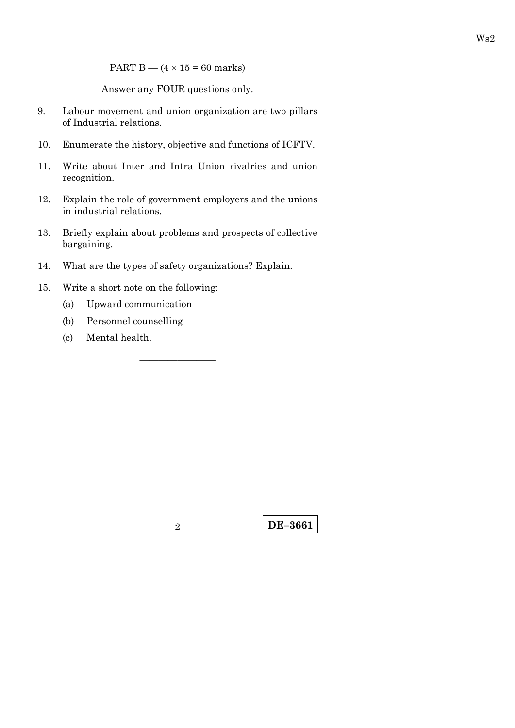PART B —  $(4 \times 15 = 60$  marks)

Answer any FOUR questions only.

- 9. Labour movement and union organization are two pillars of Industrial relations.
- 10. Enumerate the history, objective and functions of ICFTV.
- 11. Write about Inter and Intra Union rivalries and union recognition.
- 12. Explain the role of government employers and the unions in industrial relations.
- 13. Briefly explain about problems and prospects of collective bargaining.

————————

- 14. What are the types of safety organizations? Explain.
- 15. Write a short note on the following:
	- (a) Upward communication
	- (b) Personnel counselling
	- (c) Mental health.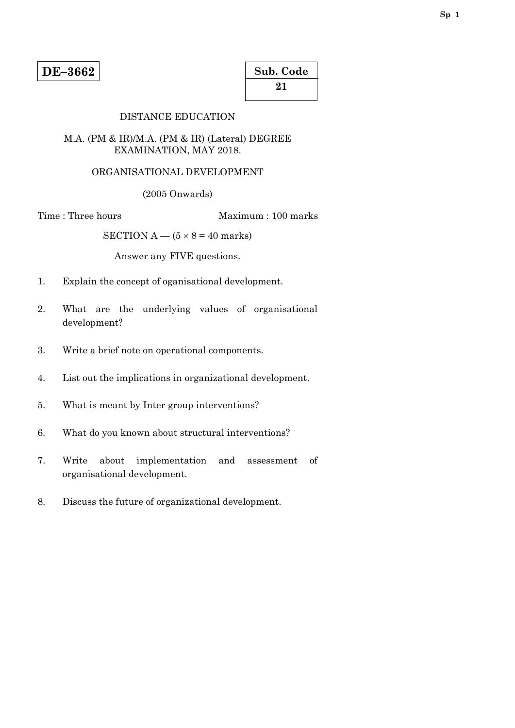| Sub. Code |  |
|-----------|--|
| 21        |  |

### DISTANCE EDUCATION

#### M.A. (PM & IR)/M.A. (PM & IR) (Lateral) DEGREE EXAMINATION, MAY 2018.

# ORGANISATIONAL DEVELOPMENT

(2005 Onwards)

Time : Three hours Maximum : 100 marks

SECTION  $A - (5 \times 8 = 40$  marks)

- 1. Explain the concept of oganisational development.
- 2. What are the underlying values of organisational development?
- 3. Write a brief note on operational components.
- 4. List out the implications in organizational development.
- 5. What is meant by Inter group interventions?
- 6. What do you known about structural interventions?
- 7. Write about implementation and assessment of organisational development.
- 8. Discuss the future of organizational development.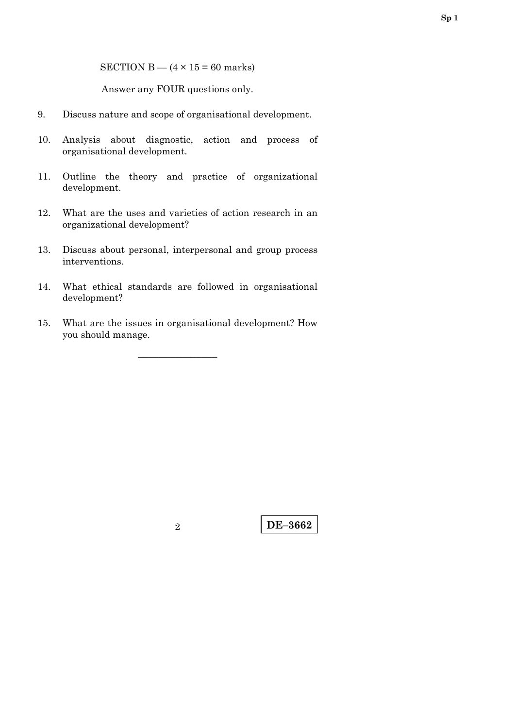SECTION B —  $(4 \times 15 = 60$  marks)

Answer any FOUR questions only.

- 9. Discuss nature and scope of organisational development.
- 10. Analysis about diagnostic, action and process of organisational development.
- 11. Outline the theory and practice of organizational development.
- 12. What are the uses and varieties of action research in an organizational development?
- 13. Discuss about personal, interpersonal and group process interventions.
- 14. What ethical standards are followed in organisational development?
- 15. What are the issues in organisational development? How you should manage.

–––––––––––––––

**Sp 1**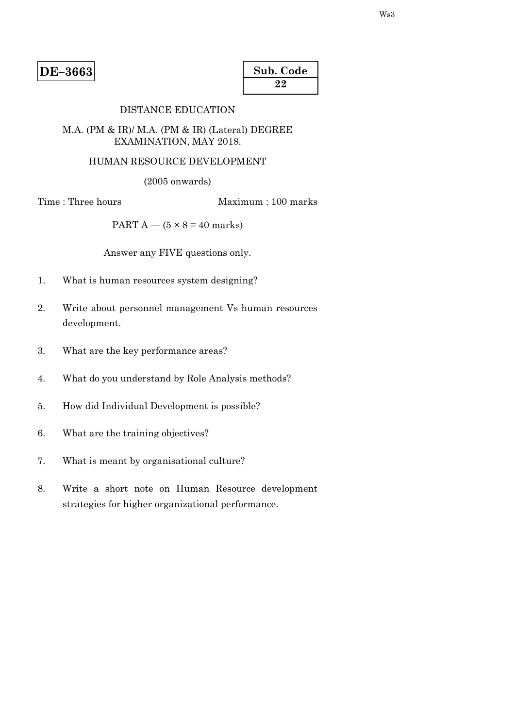| Sub. Code |  |
|-----------|--|
| 22        |  |

#### DISTANCE EDUCATION

#### M.A. (PM & IR)/ M.A. (PM & IR) (Lateral) DEGREE EXAMINATION, MAY 2018.

#### HUMAN RESOURCE DEVELOPMENT

(2005 onwards)

Time : Three hours Maximum : 100 marks

PART A —  $(5 \times 8 = 40$  marks)

- 1. What is human resources system designing?
- 2. Write about personnel management Vs human resources development.
- 3. What are the key performance areas?
- 4. What do you understand by Role Analysis methods?
- 5. How did Individual Development is possible?
- 6. What are the training objectives?
- 7. What is meant by organisational culture?
- 8. Write a short note on Human Resource development strategies for higher organizational performance.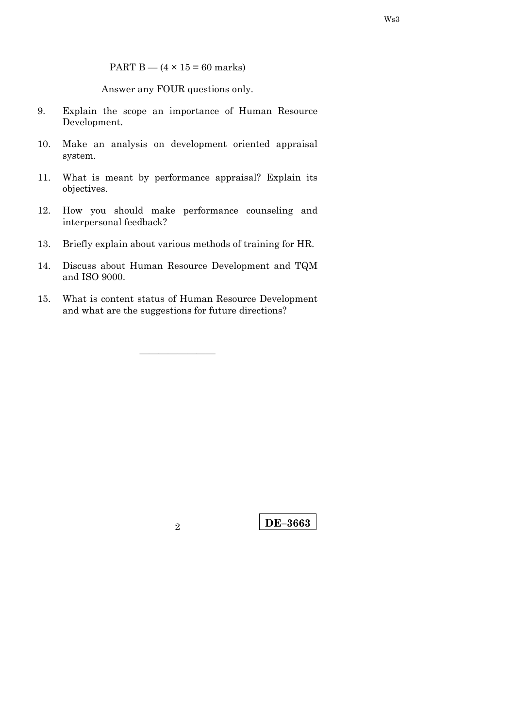PART B —  $(4 \times 15 = 60$  marks)

Answer any FOUR questions only.

- 9. Explain the scope an importance of Human Resource Development.
- 10. Make an analysis on development oriented appraisal system.
- 11. What is meant by performance appraisal? Explain its objectives.
- 12. How you should make performance counseling and interpersonal feedback?
- 13. Briefly explain about various methods of training for HR.
- 14. Discuss about Human Resource Development and TQM and ISO 9000.
- 15. What is content status of Human Resource Development and what are the suggestions for future directions?

————————

**DE–3663** <sup>2</sup>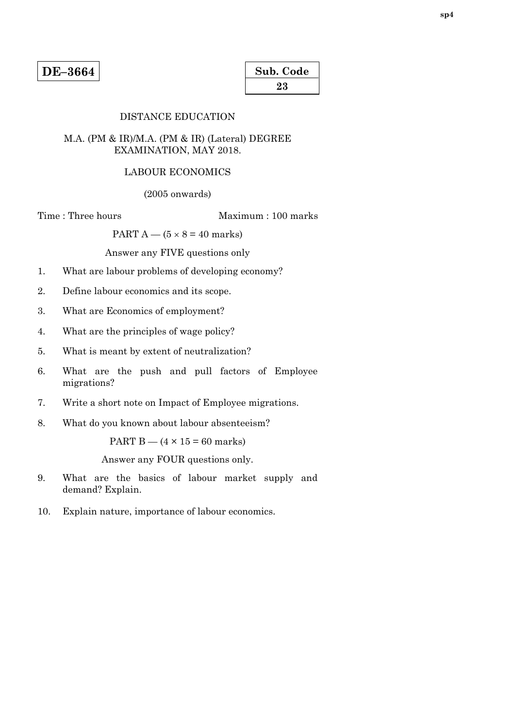| Sub. Code |  |
|-----------|--|
| 23        |  |

#### DISTANCE EDUCATION

#### M.A. (PM & IR)/M.A. (PM & IR) (Lateral) DEGREE EXAMINATION, MAY 2018.

#### LABOUR ECONOMICS

(2005 onwards)

Time : Three hours Maximum : 100 marks

PART  $A - (5 \times 8 = 40$  marks)

Answer any FIVE questions only

- 1. What are labour problems of developing economy?
- 2. Define labour economics and its scope.
- 3. What are Economics of employment?
- 4. What are the principles of wage policy?
- 5. What is meant by extent of neutralization?
- 6. What are the push and pull factors of Employee migrations?
- 7. Write a short note on Impact of Employee migrations.
- 8. What do you known about labour absenteeism?

PART  $B - (4 \times 15 = 60$  marks)

- 9. What are the basics of labour market supply and demand? Explain.
- 10. Explain nature, importance of labour economics.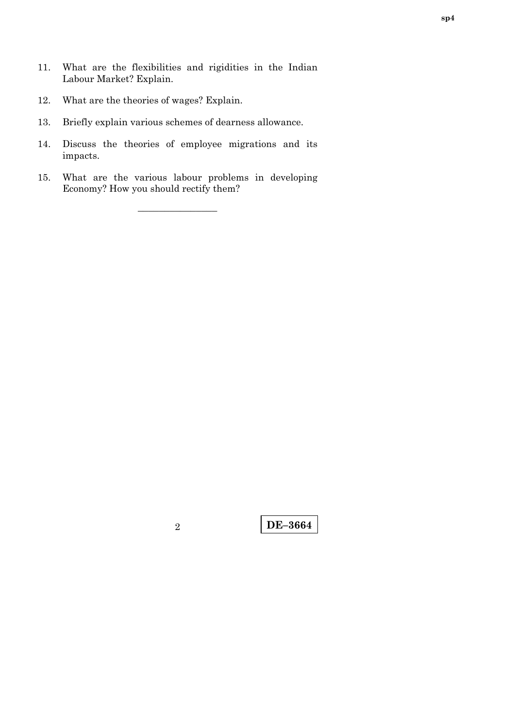- 11. What are the flexibilities and rigidities in the Indian Labour Market? Explain.
- 12. What are the theories of wages? Explain.
- 13. Briefly explain various schemes of dearness allowance.
- 14. Discuss the theories of employee migrations and its impacts.
- 15. What are the various labour problems in developing Economy? How you should rectify them?

–––––––––––––––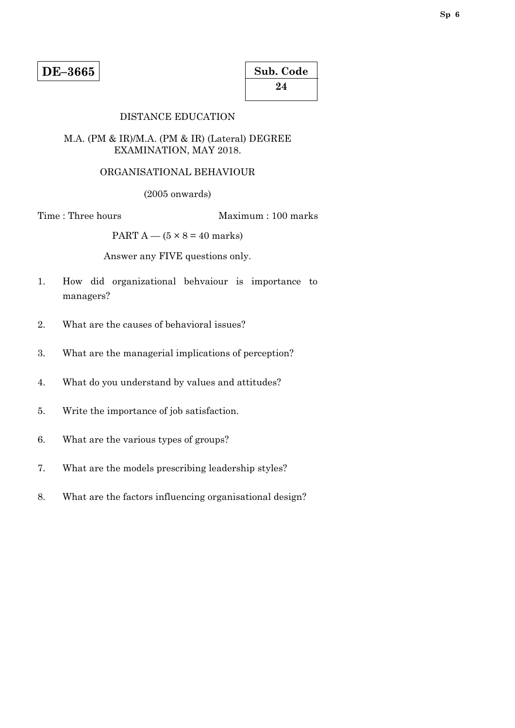| Sub. Code |  |
|-----------|--|
| 24        |  |

### DISTANCE EDUCATION

#### M.A. (PM & IR)/M.A. (PM & IR) (Lateral) DEGREE EXAMINATION, MAY 2018.

#### ORGANISATIONAL BEHAVIOUR

(2005 onwards)

Time : Three hours Maximum : 100 marks

PART A —  $(5 \times 8 = 40 \text{ marks})$ 

- 1. How did organizational behvaiour is importance to managers?
- 2. What are the causes of behavioral issues?
- 3. What are the managerial implications of perception?
- 4. What do you understand by values and attitudes?
- 5. Write the importance of job satisfaction.
- 6. What are the various types of groups?
- 7. What are the models prescribing leadership styles?
- 8. What are the factors influencing organisational design?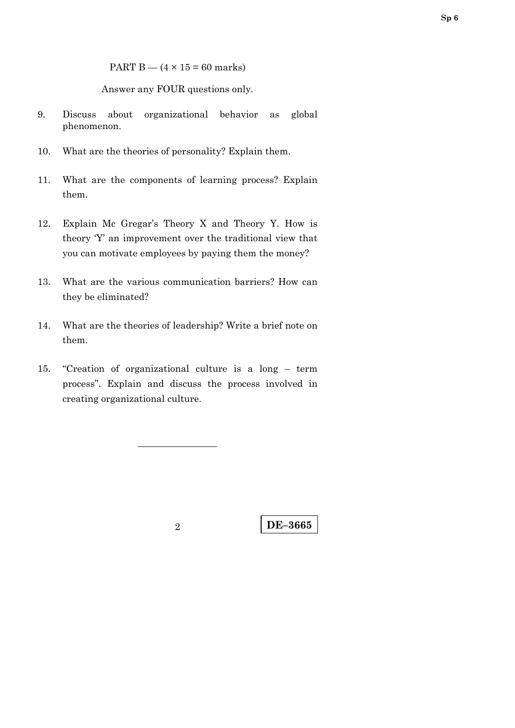PART B  $-$  (4  $\times$  15 = 60 marks)

Answer any FOUR questions only.

- 9. Discuss about organizational behavior as global phenomenon.
- 10. What are the theories of personality? Explain them.
- 11. What are the components of learning process? Explain them.
- 12. Explain Mc Gregar's Theory X and Theory Y. How is theory 'Y' an improvement over the traditional view that you can motivate employees by paying them the money?
- 13. What are the various communication barriers? How can they be eliminated?
- 14. What are the theories of leadership? Write a brief note on them.
- 15. "Creation of organizational culture is a long term process". Explain and discuss the process involved in creating organizational culture.

–––––––––––––––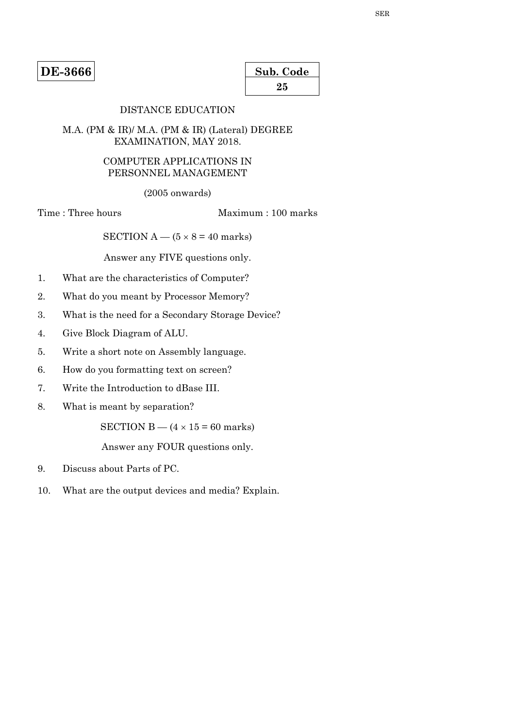**DE-3666** 

| Sub. Code |  |
|-----------|--|
| 25        |  |

# DISTANCE EDUCATION

#### M.A. (PM & IR)/ M.A. (PM & IR) (Lateral) DEGREE EXAMINATION, MAY 2018.

### COMPUTER APPLICATIONS IN PERSONNEL MANAGEMENT

(2005 onwards)

Time : Three hours Maximum : 100 marks

SECTION  $A - (5 \times 8 = 40$  marks)

Answer any FIVE questions only.

- 1. What are the characteristics of Computer?
- 2. What do you meant by Processor Memory?
- 3. What is the need for a Secondary Storage Device?
- 4. Give Block Diagram of ALU.
- 5. Write a short note on Assembly language.
- 6. How do you formatting text on screen?
- 7. Write the Introduction to dBase III.
- 8. What is meant by separation?

SECTION B —  $(4 \times 15 = 60$  marks)

- 9. Discuss about Parts of PC.
- 10. What are the output devices and media? Explain.